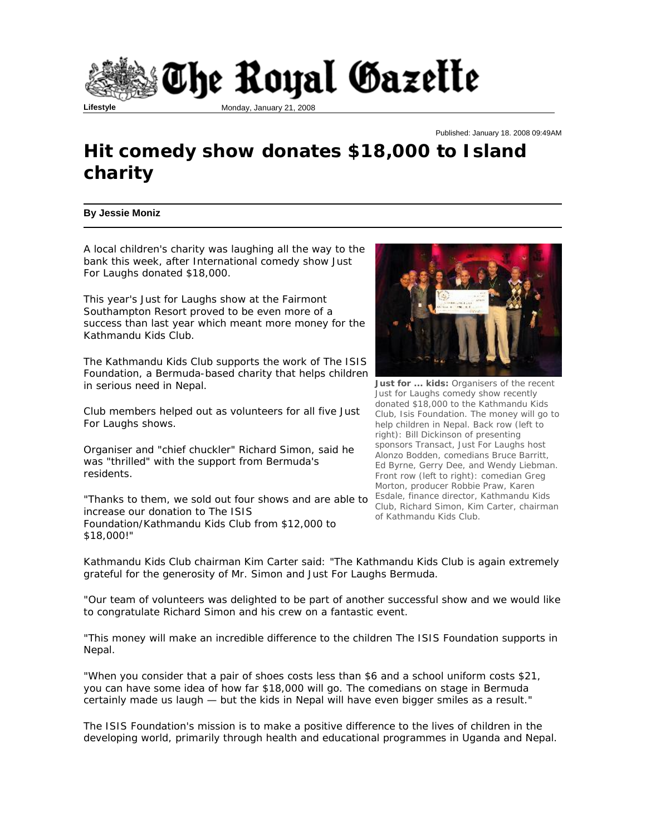

## Published: January 18. 2008 09:49AM

## **Hit comedy show donates \$18,000 to Island charity**

## **By Jessie Moniz**

A local children's charity was laughing all the way to the bank this week, after International comedy show Just For Laughs donated \$18,000.

This year's Just for Laughs show at the Fairmont Southampton Resort proved to be even more of a success than last year which meant more money for the Kathmandu Kids Club.

The Kathmandu Kids Club supports the work of The ISIS Foundation, a Bermuda-based charity that helps children in serious need in Nepal.

Club members helped out as volunteers for all five Just For Laughs shows.

Organiser and "chief chuckler" Richard Simon, said he was "thrilled" with the support from Bermuda's residents.

"Thanks to them, we sold out four shows and are able to increase our donation to The ISIS Foundation/Kathmandu Kids Club from \$12,000 to \$18,000!"



**Just for ... kids:** Organisers of the recent Just for Laughs comedy show recently donated \$18,000 to the Kathmandu Kids Club, Isis Foundation. The money will go to help children in Nepal. Back row (left to right): Bill Dickinson of presenting sponsors Transact, Just For Laughs host Alonzo Bodden, comedians Bruce Barritt, Ed Byrne, Gerry Dee, and Wendy Liebman. Front row (left to right): comedian Greg Morton, producer Robbie Praw, Karen Esdale, finance director, Kathmandu Kids Club, Richard Simon, Kim Carter, chairman of Kathmandu Kids Club.

Kathmandu Kids Club chairman Kim Carter said: "The Kathmandu Kids Club is again extremely grateful for the generosity of Mr. Simon and Just For Laughs Bermuda.

"Our team of volunteers was delighted to be part of another successful show and we would like to congratulate Richard Simon and his crew on a fantastic event.

"This money will make an incredible difference to the children The ISIS Foundation supports in Nepal.

"When you consider that a pair of shoes costs less than \$6 and a school uniform costs \$21, you can have some idea of how far \$18,000 will go. The comedians on stage in Bermuda certainly made us laugh — but the kids in Nepal will have even bigger smiles as a result."

The ISIS Foundation's mission is to make a positive difference to the lives of children in the developing world, primarily through health and educational programmes in Uganda and Nepal.